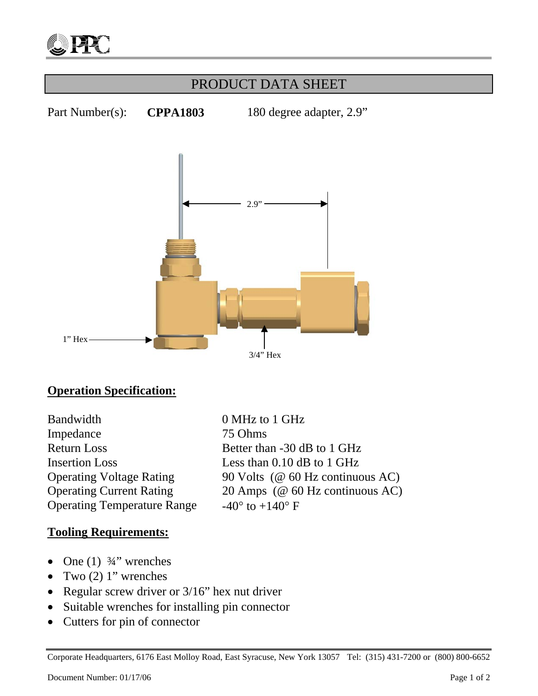

## PRODUCT DATA SHEET

Part Number(s): **CPPA1803** 180 degree adapter, 2.9"



### **Operation Specification:**

Bandwidth 0 MHz to 1 GHz Impedance 75 Ohms Return Loss Better than -30 dB to 1 GHz Insertion Loss Less than 0.10 dB to 1 GHz Operating Temperature Range  $-40^{\circ}$  to  $+140^{\circ}$  F

# Operating Voltage Rating 90 Volts (@ 60 Hz continuous AC) Operating Current Rating 20 Amps (@ 60 Hz continuous AC)

#### **Tooling Requirements:**

- One  $(1)$   $\frac{3}{4}$ " wrenches
- Two  $(2)$  1" wrenches
- Regular screw driver or 3/16" hex nut driver
- Suitable wrenches for installing pin connector
- Cutters for pin of connector

Corporate Headquarters, 6176 East Molloy Road, East Syracuse, New York 13057 Tel: (315) 431-7200 or (800) 800-6652